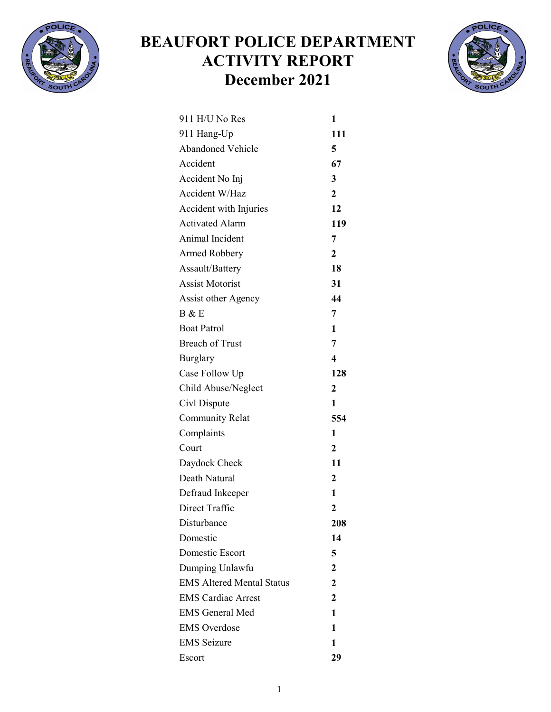

## BEAUFORT POLICE DEPARTMENT ACTIVITY REPORT December 2021



| 911 H/U No Res                   | 1                |
|----------------------------------|------------------|
| 911 Hang-Up                      | 111              |
| <b>Abandoned Vehicle</b>         | 5                |
| Accident                         | 67               |
| Accident No Inj                  | 3                |
| Accident W/Haz                   | $\overline{2}$   |
| Accident with Injuries           | 12               |
| <b>Activated Alarm</b>           | 119              |
| Animal Incident                  | 7                |
| Armed Robbery                    | $\mathbf{2}$     |
| Assault/Battery                  | 18               |
| <b>Assist Motorist</b>           | 31               |
| Assist other Agency              | 44               |
| B & E                            | 7                |
| <b>Boat Patrol</b>               | 1                |
| <b>Breach of Trust</b>           | 7                |
| <b>Burglary</b>                  | 4                |
| Case Follow Up                   | 128              |
| Child Abuse/Neglect              | $\overline{2}$   |
| Civl Dispute                     | 1                |
| <b>Community Relat</b>           | 554              |
| Complaints                       | 1                |
| Court                            | $\mathbf{2}$     |
| Daydock Check                    | 11               |
| Death Natural                    | $\mathbf{2}$     |
| Defraud Inkeeper                 | 1                |
| Direct Traffic                   | $\boldsymbol{2}$ |
| Disturbance                      | 208              |
| Domestic                         | 14               |
| Domestic Escort                  | 5                |
| Dumping Unlawfu                  | $\overline{2}$   |
| <b>EMS Altered Mental Status</b> | 2                |
| <b>EMS Cardiac Arrest</b>        | $\mathbf{2}$     |
| <b>EMS General Med</b>           | 1                |
| <b>EMS</b> Overdose              | 1                |
| <b>EMS</b> Seizure               | 1                |
| Escort                           | 29               |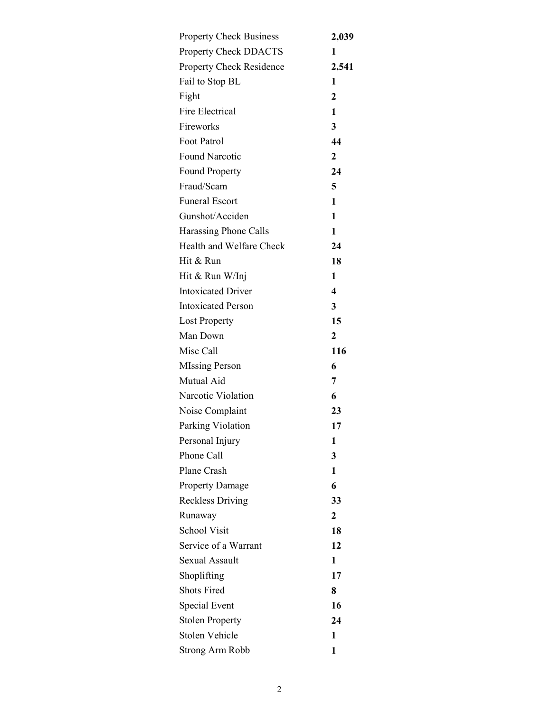| <b>Property Check Business</b> | 2,039                   |
|--------------------------------|-------------------------|
| Property Check DDACTS          | 1                       |
| Property Check Residence       | 2,541                   |
| Fail to Stop BL                | 1                       |
| Fight                          | $\mathbf 2$             |
| Fire Electrical                | 1                       |
| Fireworks                      | 3                       |
| Foot Patrol                    | 44                      |
| <b>Found Narcotic</b>          | $\mathbf 2$             |
| <b>Found Property</b>          | 24                      |
| Fraud/Scam                     | 5                       |
| <b>Funeral Escort</b>          | 1                       |
| Gunshot/Acciden                | 1                       |
| Harassing Phone Calls          | 1                       |
| Health and Welfare Check       | 24                      |
| Hit & Run                      | 18                      |
| Hit & Run W/Inj                | 1                       |
| <b>Intoxicated Driver</b>      | $\overline{\mathbf{4}}$ |
| <b>Intoxicated Person</b>      | 3                       |
| <b>Lost Property</b>           | 15                      |
| Man Down                       | $\overline{2}$          |
| Misc Call                      | 116                     |
| <b>MIssing Person</b>          | 6                       |
| Mutual Aid                     | 7                       |
| Narcotic Violation             | 6                       |
| Noise Complaint                | 23                      |
| Parking Violation              | 17                      |
| Personal Injury                | 1                       |
| Phone Call                     | 3                       |
| Plane Crash                    | 1                       |
| <b>Property Damage</b>         | 6                       |
| <b>Reckless Driving</b>        | 33                      |
| Runaway                        | $\mathbf{2}$            |
| <b>School Visit</b>            | 18                      |
| Service of a Warrant           | 12                      |
| Sexual Assault                 | 1                       |
| Shoplifting                    | 17                      |
| <b>Shots Fired</b>             | 8                       |
| Special Event                  | 16                      |
| <b>Stolen Property</b>         | 24                      |
| Stolen Vehicle                 | 1                       |
| <b>Strong Arm Robb</b>         | 1                       |